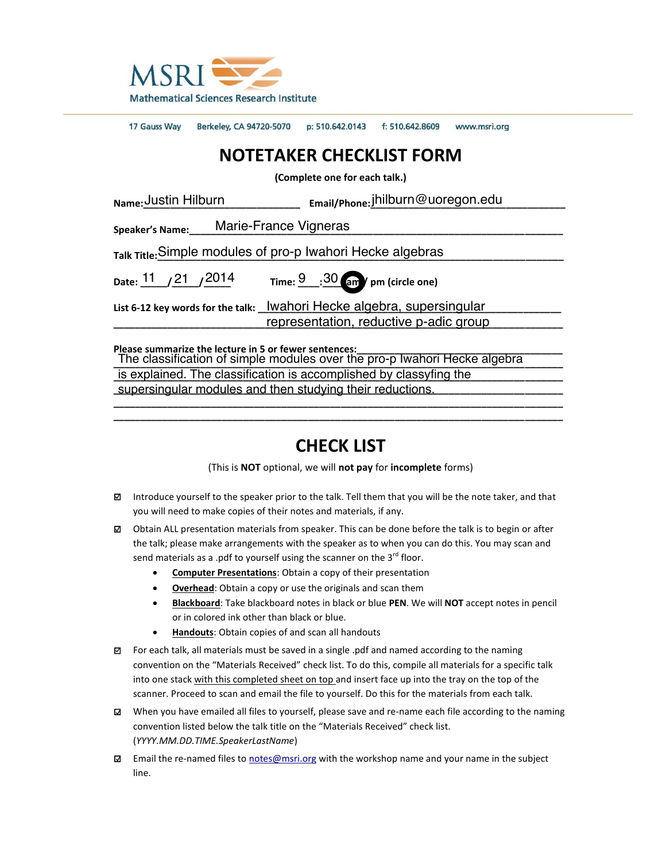

17 Gauss Way Berkeley, CA 94720-5070 p: 510.642.0143 f: 510.642.8609 www.msri.org

## **NOTETAKER CHECKLIST FORM**

**(Complete one for each talk.)**

| Name: Justin Hilburn                                                                                                                | Email/Phone: Jhilburn@uoregon.edu                                                                                |
|-------------------------------------------------------------------------------------------------------------------------------------|------------------------------------------------------------------------------------------------------------------|
| Marie-France Vigneras<br>Speaker's Name:                                                                                            |                                                                                                                  |
| Talk Title: Simple modules of pro-p Iwahori Hecke algebras                                                                          |                                                                                                                  |
|                                                                                                                                     | Time: $\frac{9}{30}$ : $\frac{30}{30}$ am / pm (circle one)                                                      |
|                                                                                                                                     | List 6-12 key words for the talk: lwahori Hecke algebra, supersingular<br>representation, reductive p-adic group |
| Please summarize the lecture in 5 or fewer sentences:<br>The eleccification of cimple medules over the pre plureheri Health algebra |                                                                                                                  |

The classification of simple modules over the pro-p Iwahori Hecke algebra is explained. The classification is accomplished by classyfing the **state of the contract of the state of the state \_\_\_\_\_\_\_\_\_\_\_\_\_\_\_\_\_\_\_\_\_\_\_\_\_\_\_\_\_\_\_\_\_\_\_\_\_\_\_\_\_\_\_\_\_\_\_\_\_\_\_\_\_\_\_\_\_\_\_\_\_\_\_\_\_\_\_\_\_\_\_\_\_\_\_\_\_\_\_\_\_\_\_** supersingular modules and then studying their reductions.**\_\_\_\_\_\_\_\_\_\_\_\_\_\_\_\_\_\_\_\_\_\_\_\_\_\_\_\_\_\_\_\_\_\_\_\_\_\_\_\_\_\_\_\_\_\_\_\_\_\_\_\_\_\_\_\_\_\_\_\_\_\_\_\_\_\_\_\_\_\_\_\_\_\_\_\_\_\_\_\_\_\_\_**

## **CHECK LIST**

**\_\_\_\_\_\_\_\_\_\_\_\_\_\_\_\_\_\_\_\_\_\_\_\_\_\_\_\_\_\_\_\_\_\_\_\_\_\_\_\_\_\_\_\_\_\_\_\_\_\_\_\_\_\_\_\_\_\_\_\_\_\_\_\_\_\_\_\_\_\_\_\_\_\_\_\_\_\_\_\_\_\_\_**

(This is **NOT** optional, we will **not pay** for **incomplete** forms)

- □ Introduce yourself to the speaker prior to the talk. Tell them that you will be the note taker, and that you will need to make copies of their notes and materials, if any.
- □ Obtain ALL presentation materials from speaker. This can be done before the talk is to begin or after the talk; please make arrangements with the speaker as to when you can do this. You may scan and send materials as a .pdf to yourself using the scanner on the  $3^{rd}$  floor.
	- **Computer Presentations:** Obtain a copy of their presentation
	- **Overhead**: Obtain a copy or use the originals and scan them
	- x **Blackboard**: Take blackboard notes in black or blue **PEN**. We will **NOT** accept notes in pencil or in colored ink other than black or blue.
	- Handouts: Obtain copies of and scan all handouts
- □ For each talk, all materials must be saved in a single .pdf and named according to the naming convention on the "Materials Received" check list. To do this, compile all materials for a specific talk into one stack with this completed sheet on top and insert face up into the tray on the top of the scanner. Proceed to scan and email the file to yourself. Do this for the materials from each talk.
- □ When you have emailed all files to yourself, please save and re-name each file according to the naming convention listed below the talk title on the "Materials Received" check list. (*YYYY.MM.DD.TIME.SpeakerLastName*)
- **□** Email the re-named files to [notes@msri.org](mailto:notes@msri.org) with the workshop name and your name in the subject line.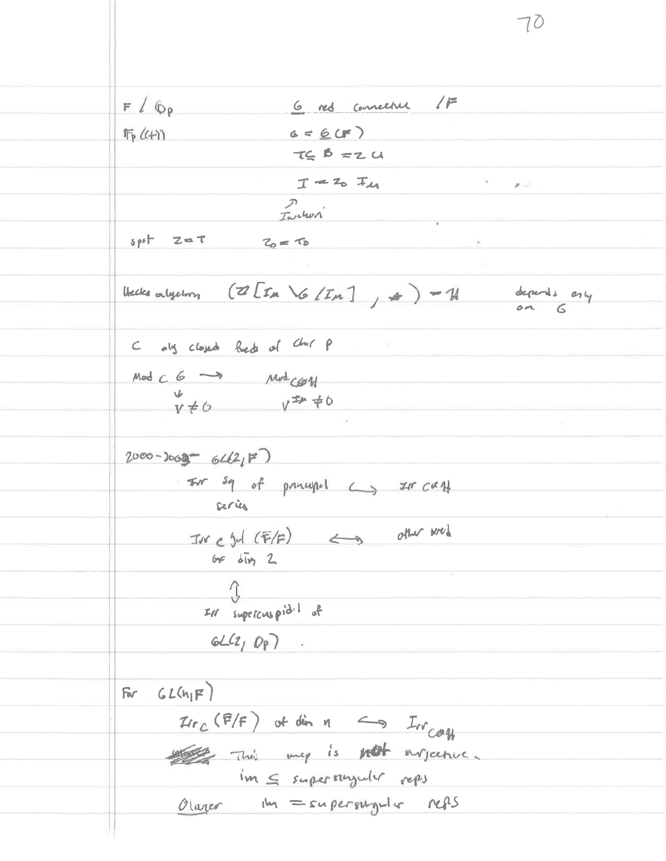6 res connecture /F  $F / \phi$ p  $G = 6(F)$  $\Pi_P$  ( $4$ )  $T\subseteq B = Z$  $T = 20$   $T_{41}$  $S = \frac{1}{2} \left( \frac{1}{2} \right)$ Inches  $spt = 2 - 7$   $2 - 7$ Hecke algebra  $(Z[\mathcal{I}_{M} \setminus G/\mathcal{I}_{M}]) = \emptyset$  depends only C als closed fred of Chil P  $Mod C 6 \longrightarrow Mod C \mathscr{B}W$  $V\neq 0$   $V^{I\#}\neq 0$  $2000 - 3069 - 6420 F$ - For sq of primaged  $\leftarrow$  20 can ceries  $\pi r c$  gd  $(F/F)$   $\iff$  one med or  $\delta \bar{w}$  2  $\hat{J}$ IN supercuspid.1 of  $GL(2, Q_P)$ . For  $GL(n_1F)$  $\pi r_c$  (F/F) of din  $n \iff \pi r_{cay}$ the my is not argume. im < superstrycter reps Olarger the = supersymber  $nqs$ 

 $70$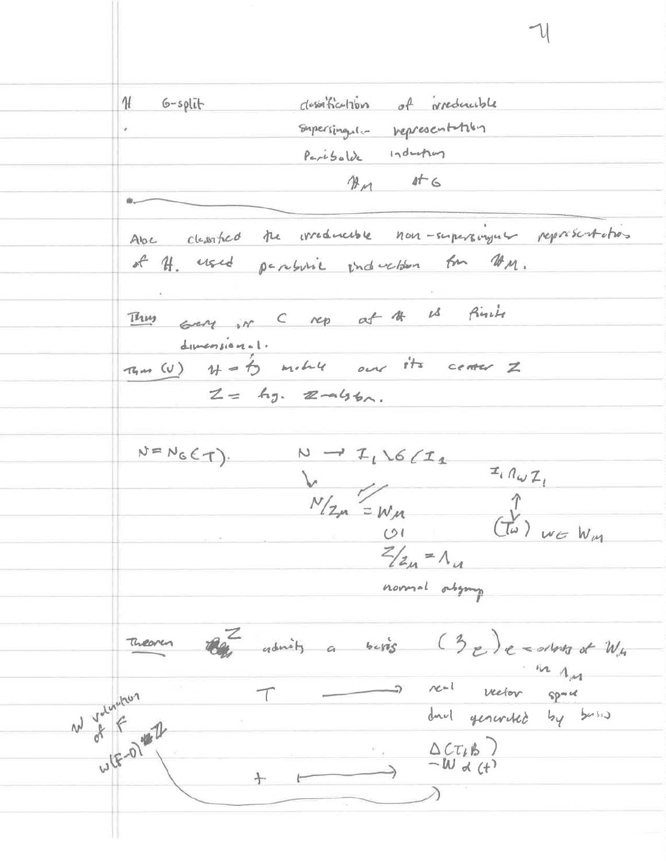describe tion of preductive H  $6$ -split Supersingula representation Paribolde Industry  $M_{\rm M}$  at  $G$ Abe cleanfied the irreducible non-supersingular representations of H. used particle induction for UM. Thus GEN in C rep at A is finite dumension-1.  $\pi_{nm}(v)$   $H=b$  milite our its center  $Z$  $Z = \text{kg.}$   $Z \rightarrow 466$ .  $N \rightarrow I_1 \setminus G/I_1$ <br>  $V_{12m} = W_{11}$ <br>  $V_{12m} = W_{12}$ <br>  $V_{12m} = W_{11}$ <br>  $V_{12m} = W_{12}$  $N=N_{G}(\tau).$  $N \rightarrow I_1\backslash G/L_1$  $Z/z_n = \Lambda_u$ normal origing Theoren the admits a besis  $(3e)$ e = alors of  $W_{th}$ in 1m W Volumbur  $\tau$ duct generated by busis WIFO #2  $\rightarrow$   $\Delta C T_{\mu}B$  $+$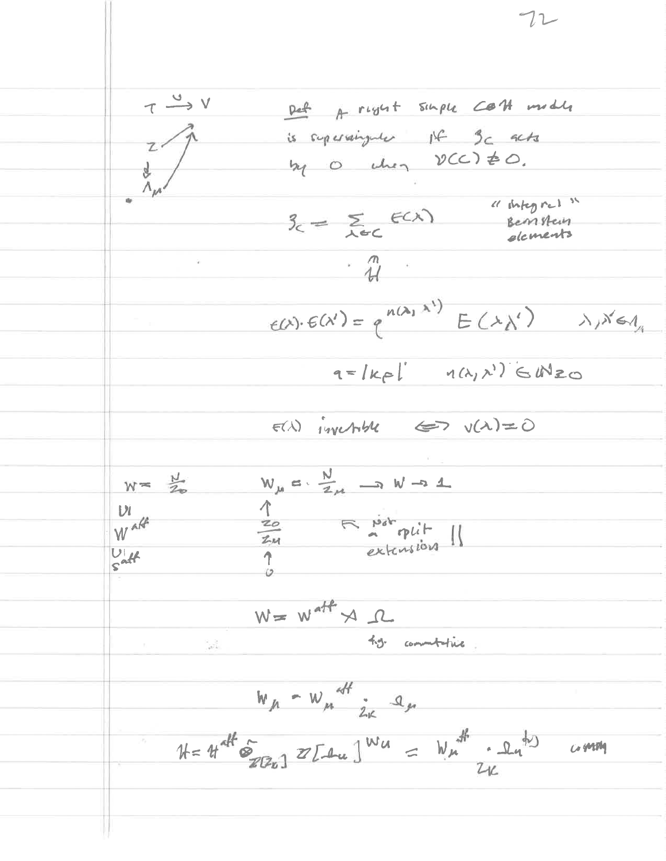Det A right single COH middle  $T \xrightarrow{U} V$ is supervisingular Ist 3c acts  $\frac{z}{\lambda_{\mu}}$ my 0 chez DCC) \$0. " integral "  $B_{c} = \sum_{\lambda \in C} f(\lambda)$ Bemteur elcments  $\ddot{w}$  $E(X)E(X') = q^{n(\lambda_1 X')}E(X')$   $\lambda_1 X \in \Lambda$  $q=|k_{\mathcal{P}}|$   $q(k_{1},k_{1})$   $\in \mathbb{N}$ 20  $F(\lambda)$  invertible  $\Leftrightarrow$   $v(\lambda)=0$  $W_{\mu}$   $\alpha$   $\cdot$   $\frac{N}{Z_{\mu}}$   $\rightarrow$   $W$   $\rightarrow$  1  $W = \frac{N}{2n}$ Tu Fritalin  $\mathcal{U}$ Waff  $\overline{1}$  $\frac{U}{S}$ att  $W = W^{aff} \rtimes \Lambda$ ty commitative  $\frac{1}{\sqrt{2}}$  $W_{\mu} - W_{\mu}$  off  $\frac{1}{2}$  $k = 4th^{\pi k}$   $\frac{1}{2}$   $\frac{1}{2}$   $\frac{1}{2}$   $\frac{1}{2}$   $\frac{1}{2}$   $\frac{1}{2}$   $\frac{1}{2}$   $\frac{1}{2}$   $\frac{1}{2}$   $\frac{1}{2}$   $\frac{1}{2}$   $\frac{1}{2}$   $\frac{1}{2}$   $\frac{1}{2}$   $\frac{1}{2}$   $\frac{1}{2}$   $\frac{1}{2}$   $\frac{1}{2}$   $\frac{1}{2}$   $\frac{1}{2}$   $\frac{1}{2}$ 

 $72$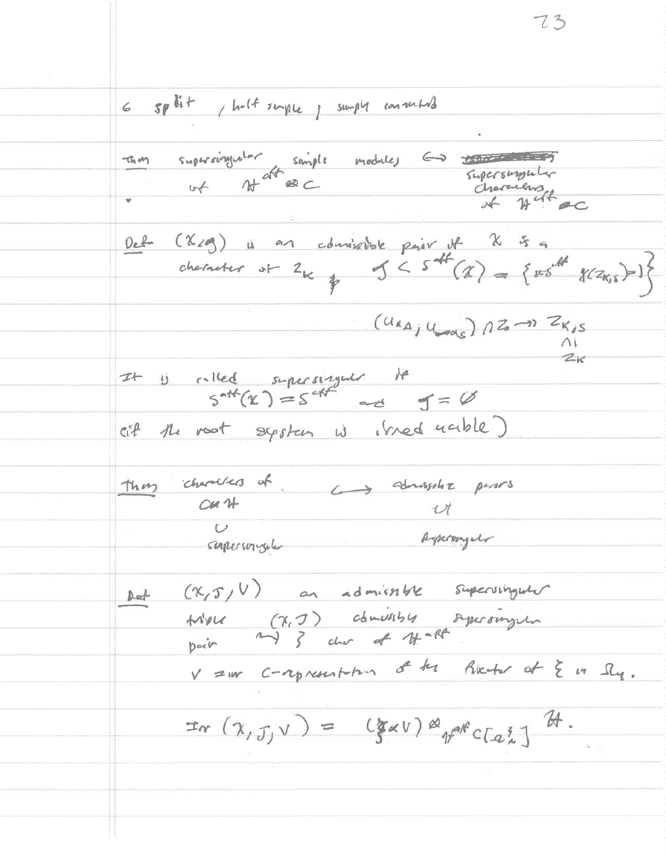6 split , helt surple , supply consulted supersingular simple modules  $\hookrightarrow$ thing of  $H^{aff} \otimes C$ Supersupply characters of Det (X/g) is an admissible pair it X is a character of  $2\kappa_{\frac{1}{2}}$   $3<$   $5<sup>4k</sup>(\alpha)$  = { $res<sup>4k</sup>$ </sup>  $\chi(z_{k,5})=1$ }  $(u_{\alpha A_j}u_{\text{max}})$   $12 - 2K_{15}$  $\triangle$  $z_{\kappa}$ It is relied superstriguts to  $f = \emptyset$ cif the nost system is stred ucible) thing characters of advisertis period  $C\mathcal{U}$   $H$  $\boldsymbol{\mathcal{U}}$  $\overline{C}$ dyscongel conferences Det  $(X,T,V)$  on admirable supervisyons trible (7,7) comissible systemyers<br>point and 3 char of 11-12 V =w c-represent form of the Richer at & in Sly.  $\pi_{\alpha}(\chi_{,\mathcal{J},V}) = (\chi_{\alpha V}) \otimes_{\gamma \in \mathbb{C}} \chi_{\alpha \xi} \gamma \mathcal{U}.$ 

 $73$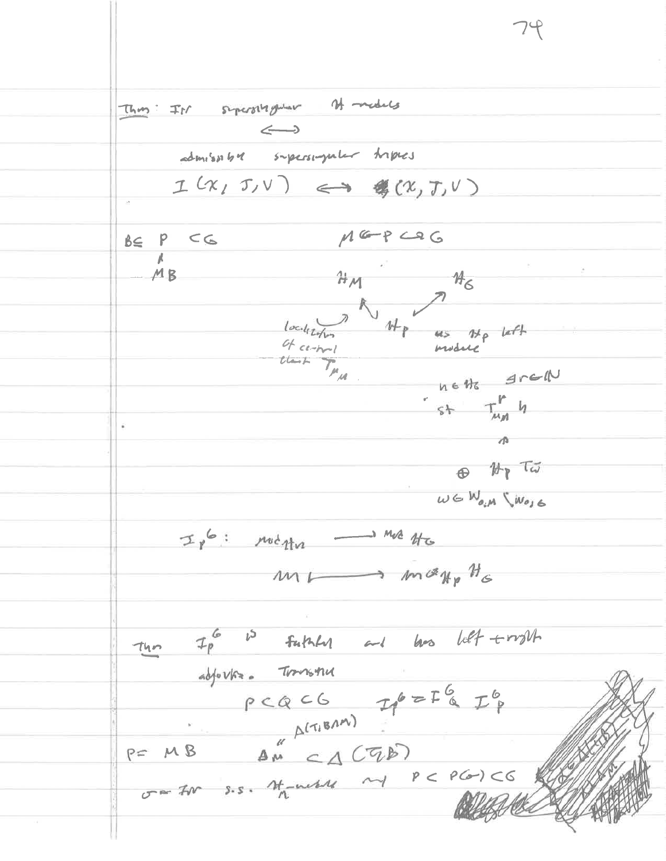This: Is superstygetor of models  $\Longleftrightarrow$ admissible supersingular triples  $I(x,T,v) \iff \#(x,T,v)$  $MGPC9G$  $BE$   $P$   $C$  $H_{\mathcal{M}}$  $MB$  $H_6$ of certifil thank  $T_{\mu_{\mu}}$ notto grad  $5+$   $T_{MM}^P$  4  $\sqrt{a}$  $\bigoplus$   $\mathcal{H}_{\mathfrak{p}}$   $\tau_{\vec{\omega}}$  $w \in W_{o_iM} \setminus w_{o_j} \in$  $\begin{array}{ccccccc}\n\mathcal{I}_{p} & \circ & \circ & \mathcal{M}_{q} & \rightarrow & \mathcal{M}_{q} & \mathcal{M}_{q} & \mathcal{M}_{q} & \mathcal{M}_{q} & \mathcal{M}_{q} & \mathcal{M}_{q} & \mathcal{M}_{q} & \mathcal{M}_{q} & \mathcal{M}_{q} & \mathcal{M}_{q} & \mathcal{M}_{q} & \mathcal{M}_{q} & \mathcal{M}_{q} & \mathcal{M}_{q} & \mathcal{M}_{q} & \mathcal{M}_{q} & \mathcal{M}_{q} & \mathcal{M}_{q} & \mathcal{M}_{q} & \mathcal{M}_{q} & \mathcal{$ ML many Hs  $\tau_{lin}$   $\tau_{p}^{6}$  is futuly and loss left tright adjours. Transmu P= MB AM CACTED  $0.277$  or s.s. Handle My PCPGICG

74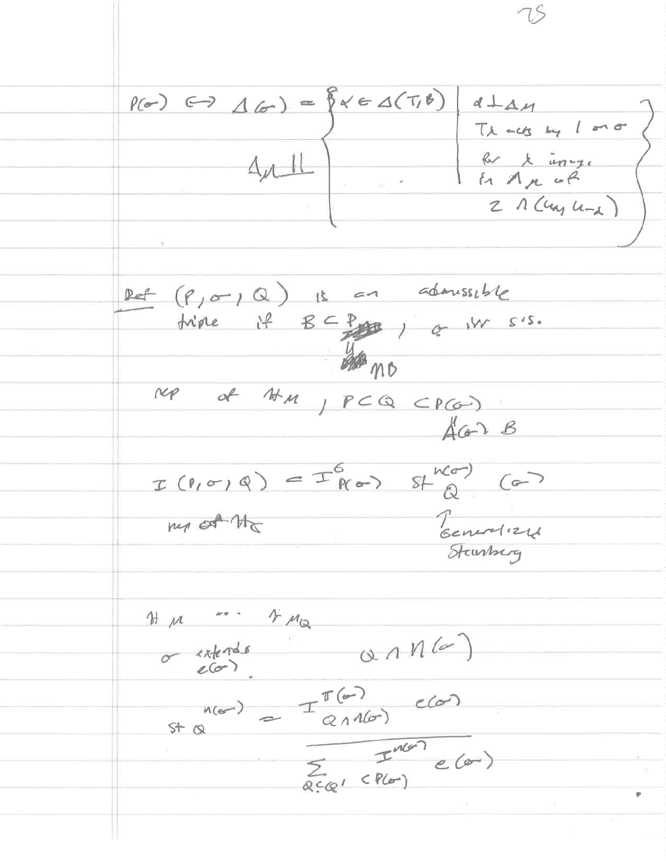$P(\sigma) \leftrightarrow \Delta(\sigma) = \{x \in \Delta(T, \theta)\}$  $d + \Delta M$ Thousand mo br x incy.  $4\nu$  $2\Lambda$  (un  $u_{-1}$  ) let  $(P_1 \sigma r_1 Q)$  is an admissible triple if  $B\subseteq P$  if  $\alpha$  is s.s.  $\frac{1}{2}$ NOP of HM, PCQ CPCO)  $A$ Con  $B$  $I(P,\sigma)Q) = I_{R\sigma}^{6} + I_{Q}^{RC}$ Teneralizat my of the  $4\mu_{\tiny \odot}$  $H M$  $\sigma$  estads  $\alpha \wedge n$  (a) st a =  $\frac{\pi(G)}{2 \pi n(G)}$  elan<br>
=  $\frac{\pi(G)}{\pi(n(G))}$  elan<br>
=  $\frac{\pi}{2}$  elan

7S